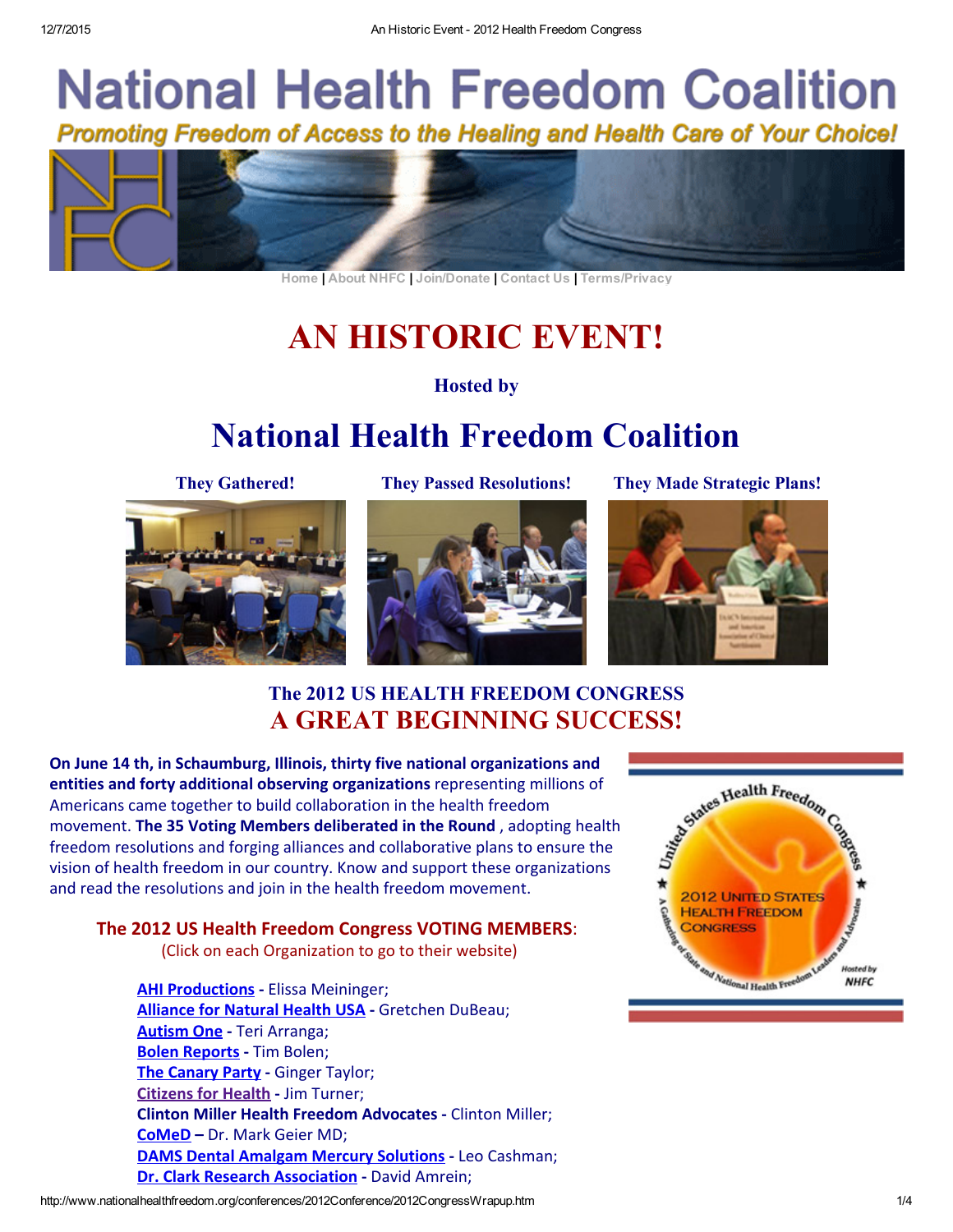# **National Health Freedom Coalition** Promoting Freedom of Access to the Healing and Health Care of Your Choice!



[Home](https://www.nationalhealthfreedom.org/) | [About NHFC](https://nationalhealthfreedom.org/mission) | [Join/Donate](https://nationalhealthfreedom.org/donate) | [Contact Us](https://nationalhealthfreedom.org/contact-us) | [Terms/Privacy](https://nationalhealthfreedom.org/terms-of-use)

## AN HISTORIC EVENT!

#### Hosted by

## National Health Freedom Coalition





They Gathered! They Passed Resolutions! They Made Strategic Plans!



### The 2012 US HEALTH FREEDOM CONGRESS A GREAT BEGINNING SUCCESS!

On June 14 th, in Schaumburg, Illinois, thirty five national organizations and entities and forty additional observing organizations representing millions of Americans came together to build collaboration in the health freedom movement. The 35 Voting Members deliberated in the Round , adopting health freedom resolutions and forging alliances and collaborative plans to ensure the vision of health freedom in our country. Know and support these organizations and read the resolutions and join in the health freedom movement.

#### The 2012 US Health Freedom Congress VOTING MEMBERS:

(Click on each Organization to go to their website)

**[AHI Productions](http://ahiproductions.com/) - Elissa Meininger;** [Alliance for Natural Health USA](http://www.anh-usa.org/) - Gretchen DuBeau; [Autism One](http://www.autismone.org/) - Teri Arranga; [Bolen Reports](http://bolenreport.com/) - Tim Bolen; [The Canary Party](http://canaryparty.org/) - Ginger Taylor; [Citizens for Health](http://www.citizens.org/) ‐ Jim Turner; Clinton Miller Health Freedom Advocates ‐ Clinton Miller; [CoMeD](http://mercury-freedrugs.org/) – Dr. Mark Geier MD; [DAMS Dental Amalgam Mercury Solutions](http://www.dams.cc/) - Leo Cashman; [Dr. Clark Research Association](http://www.drclark.com/) ‐ David Amrein;

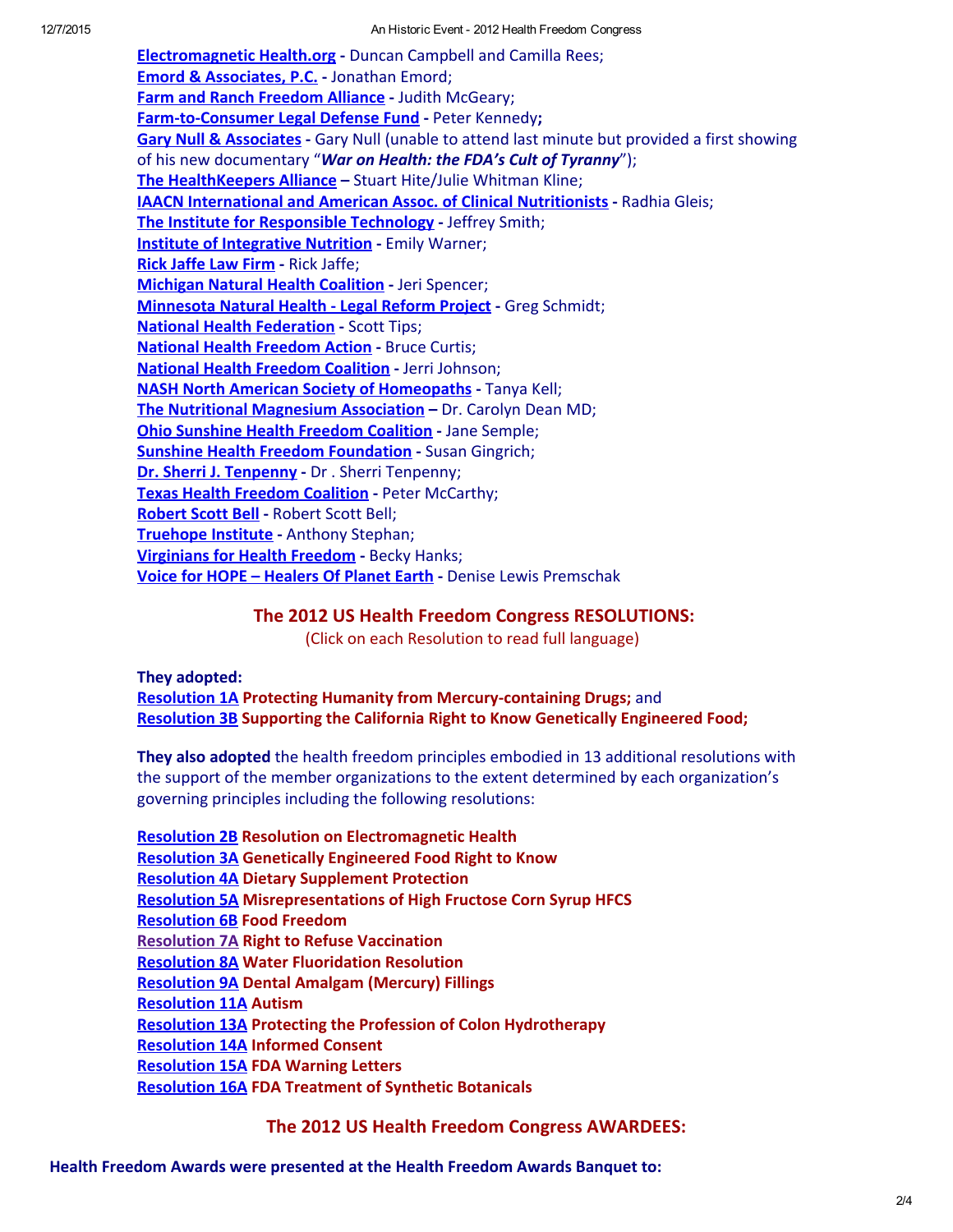[Electromagnetic Health.org](http://www.electromagnetichealth.org/) ‐ Duncan Campbell and Camilla Rees; [Emord & Associates, P.C.](http://www.emord.com/) - Jonathan Emord; [Farm and Ranch Freedom Alliance](http://farmandranchfreedom.org/) - Judith McGeary; Farm-to-Consumer Legal Defense Fund - Peter Kennedy; [Gary Null & Associates](http://www.garynull.com/) - Gary Null (unable to attend last minute but provided a first showing of his new documentary "*War on Health: the FDA's Cult of Tyranny*"); [The HealthKeepers Alliance](http://healthkeepers.net/index.php) - Stuart Hite/Julie Whitman Kline; [IAACN International and American Assoc. of Clinical Nutritionists](http://www.iaacn.org/) ‐ Radhia Gleis; [The Institute for Responsible Technology](http://responsibletechnology.org/) - Jeffrey Smith; [Institute of Integrative Nutrition](http://www.integrativenutrition.com/) ‐ Emily Warner; [Rick Jaffe Law Firm](http://rickjaffe.com/jaffe/) - Rick Jaffe; [Michigan Natural Health Coalition](http://www.michigannaturalhealthcoalition.org/) ‐ Jeri Spencer; [Minnesota Natural Health ‐ Legal Reform Project](http://www.mnhlrp.org/) ‐ Greg Schmidt; [National Health Federation](http://thenhf.com/) ‐ Scott Tips; [National Health Freedom Action](http://nationalhealthfreedom.org/CoalitionHhomepage.html) ‐ Bruce Curtis; [National Health Freedom Coalition](http://nationalhealthfreedom.org/) - Jerri Johnson; [NASH North American Society of Homeopaths](http://www.homeopathy.org/) ‐ Tanya Kell; [The Nutritional Magnesium Association](http://www.nutritionalmagnesium.org/aboutus.html) - Dr. Carolyn Dean MD; [Ohio Sunshine Health Freedom Coalition](http://www.ohiohealthfreedom.com/) ‐ Jane Semple; **[Sunshine Health Freedom Foundation](http://www.sunshinehealthfreedomfoundation.com/page/page/1869794.htm) - Susan Gingrich;** [Dr. Sherri J. Tenpenny](http://tenpennyimc.com/) ‐ Dr . Sherri Tenpenny; [Texas Health Freedom Coalition](http://texashealthfreedom.com/) - Peter McCarthy; [Robert Scott Bell](http://www.robertscottbell.com/) ‐ Robert Scott Bell; [Truehope Institute](http://www.truehope.com/) ‐ Anthony Stephan; [Virginians for Health Freedom](http://virginiansforhealthfreedom.org/) - Becky Hanks; Voice for HOPE - Healers Of Planet Earth - Denise Lewis Premschak

#### The 2012 US Health Freedom Congress RESOLUTIONS:

(Click on each Resolution to read full language)

They adopted: [Resolution 1A](https://nationalhealthfreedom.org/wp-content/uploads/1AMercury1.pdf) Protecting Humanity from Mercury‐containing Drugs; and [Resolution 3B](https://nationalhealthfreedom.org/wp-content/uploads/3B-rtf-GMO-3B-Resolution-long-CA-Initiative1.pdf) Supporting the California Right to Know Genetically Engineered Food;

They also adopted the health freedom principles embodied in 13 additional resolutions with the support of the member organizations to the extent determined by each organization's governing principles including the following resolutions:

[Resolution 2B](https://nationalhealthfreedom.org/wp-content/uploads/2B-EMF_Resolution_2B-with-support-edited1.pdf) Resolution on Electromagnetic Health [Resolution 3A](https://nationalhealthfreedom.org/wp-content/uploads/3A-rtf-GMO-3A-Resolution-long-Kucinich_amended-with-support1.pdf) Genetically Engineered Food Right to Know [Resolution 4A](https://nationalhealthfreedom.org/wp-content/uploads/4A-Resolution-4A-for-Dietary-Supplement-Protection-NHF_amended-with-support1.pdf) Dietary Supplement Protection [Resolution 5A](https://nationalhealthfreedom.org/wp-content/uploads/5A-Final-MisrepresentationsofHighFructoseCornSyrupHFCS-with-support1.pdf) Misrepresentations of High Fructose Corn Syrup HFCS [Resolution 6B](https://nationalhealthfreedom.org/wp-content/uploads/6BFoodFreedomresolution-v2-clean1final_amended-with-support1.pdf) Food Freedom [Resolution 7A](http://www.nationalhealthfreedom.org/conferences/2012Conference/CongressResolutions/7A%20Sherri%20J.%20Tenpenny%20re%20Vaccines%20final_amended%20with%20support.pdf) Right to Refuse Vaccination [Resolution 8A](https://nationalhealthfreedom.org/wp-content/uploads/8A-final-WaterFluoridationResolution-amended-with-support1.pdf) Water Fluoridation Resolution [Resolution 9A](https://nationalhealthfreedom.org/wp-content/uploads/9A-final-DentalAmalgamResolution_amended-with-support1.pdf) Dental Amalgam (Mercury) Fillings [Resolution 11A](https://nationalhealthfreedom.org/wp-content/uploads/11A-final-Autism-Resolution-2012_amended-with-support1.pdf) Autism [Resolution 13A](https://nationalhealthfreedom.org/wp-content/uploads/13AI-ACTResolutionfor2012HealthFreedomCongress-amended-with-support1.pdf) Protecting the Profession of Colon Hydrotherapy [Resolution 14A](https://nationalhealthfreedom.org/wp-content/uploads/14ADRAFTresolutiononinformedconsent1final_amended-with-support1.pdf) Informed Consent [Resolution 15A](https://nationalhealthfreedom.org/wp-content/uploads/15AFDA-warning-lettersResolutionsDMAAv221final_amended-with-support1.pdf) FDA Warning Letters [Resolution 16A](https://nationalhealthfreedom.org/wp-content/uploads/16AFDA-Treatment-of-Synthetic-Botanicals-final-amended-with-support1.pdf) FDA Treatment of Synthetic Botanicals

#### The 2012 US Health Freedom Congress AWARDEES: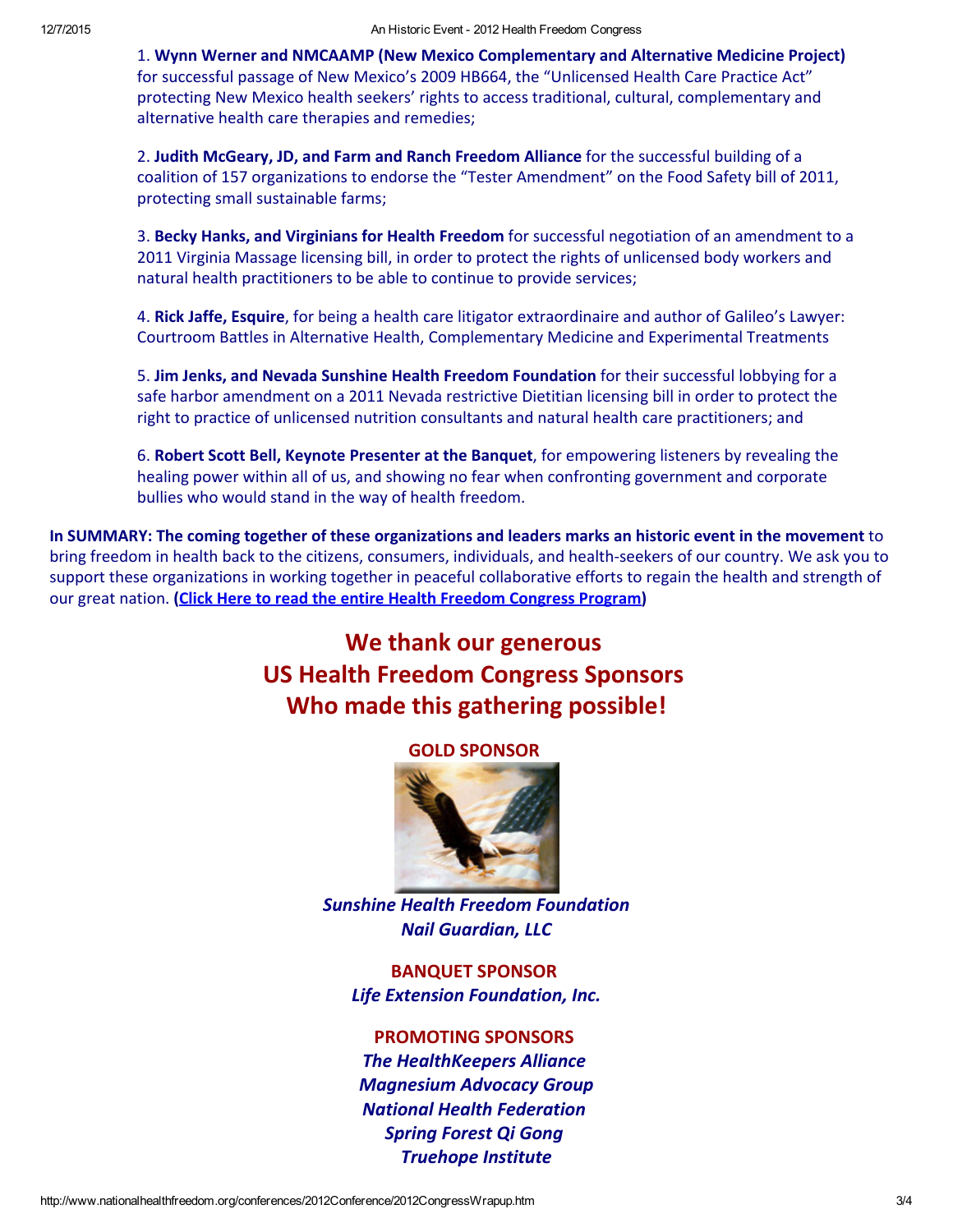1. Wynn Werner and NMCAAMP (New Mexico Complementary and Alternative Medicine Project) for successful passage of New Mexico's 2009 HB664, the "Unlicensed Health Care Practice Act" protecting New Mexico health seekers' rights to access traditional, cultural, complementary and alternative health care therapies and remedies;

2. Judith McGeary, JD, and Farm and Ranch Freedom Alliance for the successful building of a coalition of 157 organizations to endorse the "Tester Amendment" on the Food Safety bill of 2011, protecting small sustainable farms;

3. Becky Hanks, and Virginians for Health Freedom for successful negotiation of an amendment to a 2011 Virginia Massage licensing bill, in order to protect the rights of unlicensed body workers and natural health practitioners to be able to continue to provide services;

4. Rick Jaffe, Esquire, for being a health care litigator extraordinaire and author of Galileo's Lawyer: Courtroom Battles in Alternative Health, Complementary Medicine and Experimental Treatments

5. Jim Jenks, and Nevada Sunshine Health Freedom Foundation for their successful lobbying for a safe harbor amendment on a 2011 Nevada restrictive Dietitian licensing bill in order to protect the right to practice of unlicensed nutrition consultants and natural health care practitioners; and

6. Robert Scott Bell, Keynote Presenter at the Banquet, for empowering listeners by revealing the healing power within all of us, and showing no fear when confronting government and corporate bullies who would stand in the way of health freedom.

In SUMMARY: The coming together of these organizations and leaders marks an historic event in the movement to bring freedom in health back to the citizens, consumers, individuals, and health‐seekers of our country. We ask you to support these organizations in working together in peaceful collaborative efforts to regain the health and strength of our great nation. [\(Click Here to read the entire Health Freedom Congress Program](https://nationalhealthfreedom.org/wp-content/uploads/Program_060612.pdf))

### We thank our generous US Health Freedom Congress Sponsors Who made this gathering possible!

GOLD SPONSOR



*Sunshine Health Freedom Foundation Nail Guardian, LLC*

BANQUET SPONSOR *Life Extension Foundation, Inc.*

#### PROMOTING SPONSORS

*The HealthKeepers Alliance Magnesium Advocacy Group National Health Federation Spring Forest Qi Gong Truehope Institute*